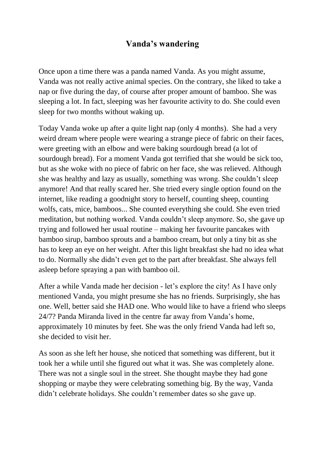## **Vanda's wandering**

Once upon a time there was a panda named Vanda. As you might assume, Vanda was not really active animal species. On the contrary, she liked to take a nap or five during the day, of course after proper amount of bamboo. She was sleeping a lot. In fact, sleeping was her favourite activity to do. She could even sleep for two months without waking up.

Today Vanda woke up after a quite light nap (only 4 months). She had a very weird dream where people were wearing a strange piece of fabric on their faces, were greeting with an elbow and were baking sourdough bread (a lot of sourdough bread). For a moment Vanda got terrified that she would be sick too, but as she woke with no piece of fabric on her face, she was relieved. Although she was healthy and lazy as usually, something was wrong. She couldn't sleep anymore! And that really scared her. She tried every single option found on the internet, like reading a goodnight story to herself, counting sheep, counting wolfs, cats, mice, bamboos... She counted everything she could. She even tried meditation, but nothing worked. Vanda couldn't sleep anymore. So, she gave up trying and followed her usual routine – making her favourite pancakes with bamboo sirup, bamboo sprouts and a bamboo cream, but only a tiny bit as she has to keep an eye on her weight. After this light breakfast she had no idea what to do. Normally she didn't even get to the part after breakfast. She always fell asleep before spraying a pan with bamboo oil.

After a while Vanda made her decision - let's explore the city! As I have only mentioned Vanda, you might presume she has no friends. Surprisingly, she has one. Well, better said she HAD one. Who would like to have a friend who sleeps 24/7? Panda Miranda lived in the centre far away from Vanda's home, approximately 10 minutes by feet. She was the only friend Vanda had left so, she decided to visit her.

As soon as she left her house, she noticed that something was different, but it took her a while until she figured out what it was. She was completely alone. There was not a single soul in the street. She thought maybe they had gone shopping or maybe they were celebrating something big. By the way, Vanda didn't celebrate holidays. She couldn't remember dates so she gave up.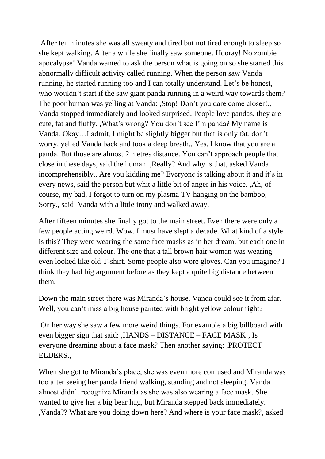After ten minutes she was all sweaty and tired but not tired enough to sleep so she kept walking. After a while she finally saw someone. Hooray! No zombie apocalypse! Vanda wanted to ask the person what is going on so she started this abnormally difficult activity called running. When the person saw Vanda running, he started running too and I can totally understand. Let's be honest, who wouldn't start if the saw giant panda running in a weird way towards them? The poor human was yelling at Vanda: ,Stop! Don't you dare come closer!., Vanda stopped immediately and looked surprised. People love pandas, they are cute, fat and fluffy. ,What's wrong? You don't see I'm panda? My name is Vanda. Okay…I admit, I might be slightly bigger but that is only fat, don't worry, yelled Vanda back and took a deep breath., Yes. I know that you are a panda. But those are almost 2 metres distance. You can't approach people that close in these days, said the human. ,Really? And why is that, asked Vanda incomprehensibly., Are you kidding me? Everyone is talking about it and it's in every news, said the person but whit a little bit of anger in his voice. ,Ah, of course, my bad, I forgot to turn on my plasma TV hanging on the bamboo, Sorry., said Vanda with a little irony and walked away.

After fifteen minutes she finally got to the main street. Even there were only a few people acting weird. Wow. I must have slept a decade. What kind of a style is this? They were wearing the same face masks as in her dream, but each one in different size and colour. The one that a tall brown hair woman was wearing even looked like old T-shirt. Some people also wore gloves. Can you imagine? I think they had big argument before as they kept a quite big distance between them.

Down the main street there was Miranda's house. Vanda could see it from afar. Well, you can't miss a big house painted with bright yellow colour right?

On her way she saw a few more weird things. For example a big billboard with even bigger sign that said: ,HANDS – DISTANCE – FACE MASK!, Is everyone dreaming about a face mask? Then another saying: ,PROTECT ELDERS.,

When she got to Miranda's place, she was even more confused and Miranda was too after seeing her panda friend walking, standing and not sleeping. Vanda almost didn't recognize Miranda as she was also wearing a face mask. She wanted to give her a big bear hug, but Miranda stepped back immediately. ,Vanda?? What are you doing down here? And where is your face mask?, asked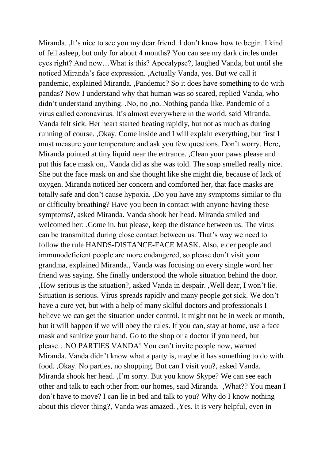Miranda. ,It's nice to see you my dear friend. I don't know how to begin. I kind of fell asleep, but only for about 4 months? You can see my dark circles under eyes right? And now…What is this? Apocalypse?, laughed Vanda, but until she noticed Miranda's face expression. ,Actually Vanda, yes. But we call it pandemic, explained Miranda. ,Pandemic? So it does have something to do with pandas? Now I understand why that human was so scared, replied Vanda, who didn't understand anything. ,No, no ,no. Nothing panda-like. Pandemic of a virus called coronavirus. It's almost everywhere in the world, said Miranda. Vanda felt sick. Her heart started beating rapidly, but not as much as during running of course. ,Okay. Come inside and I will explain everything, but first I must measure your temperature and ask you few questions. Don't worry. Here, Miranda pointed at tiny liquid near the entrance. ,Clean your paws please and put this face mask on,. Vanda did as she was told. The soap smelled really nice. She put the face mask on and she thought like she might die, because of lack of oxygen. Miranda noticed her concern and comforted her, that face masks are totally safe and don't cause hypoxia. ,Do you have any symptoms similar to flu or difficulty breathing? Have you been in contact with anyone having these symptoms?, asked Miranda. Vanda shook her head. Miranda smiled and welcomed her: ,Come in, but please, keep the distance between us. The virus can be transmitted during close contact between us. That's way we need to follow the rule HANDS-DISTANCE-FACE MASK. Also, elder people and immunodeficient people are more endangered, so please don't visit your grandma, explained Miranda., Vanda was focusing on every single word her friend was saying. She finally understood the whole situation behind the door. ,How serious is the situation?, asked Vanda in despair. ,Well dear, I won't lie. Situation is serious. Virus spreads rapidly and many people got sick. We don't have a cure yet, but with a help of many skilful doctors and professionals I believe we can get the situation under control. It might not be in week or month, but it will happen if we will obey the rules. If you can, stay at home, use a face mask and sanitize your hand. Go to the shop or a doctor if you need, but please…NO PARTIES VANDA! You can't invite people now, warned Miranda. Vanda didn't know what a party is, maybe it has something to do with food. ,Okay. No parties, no shopping. But can I visit you?, asked Vanda. Miranda shook her head. ,I'm sorry. But you know Skype? We can see each other and talk to each other from our homes, said Miranda. ,What?? You mean I don't have to move? I can lie in bed and talk to you? Why do I know nothing about this clever thing?, Vanda was amazed. ,Yes. It is very helpful, even in